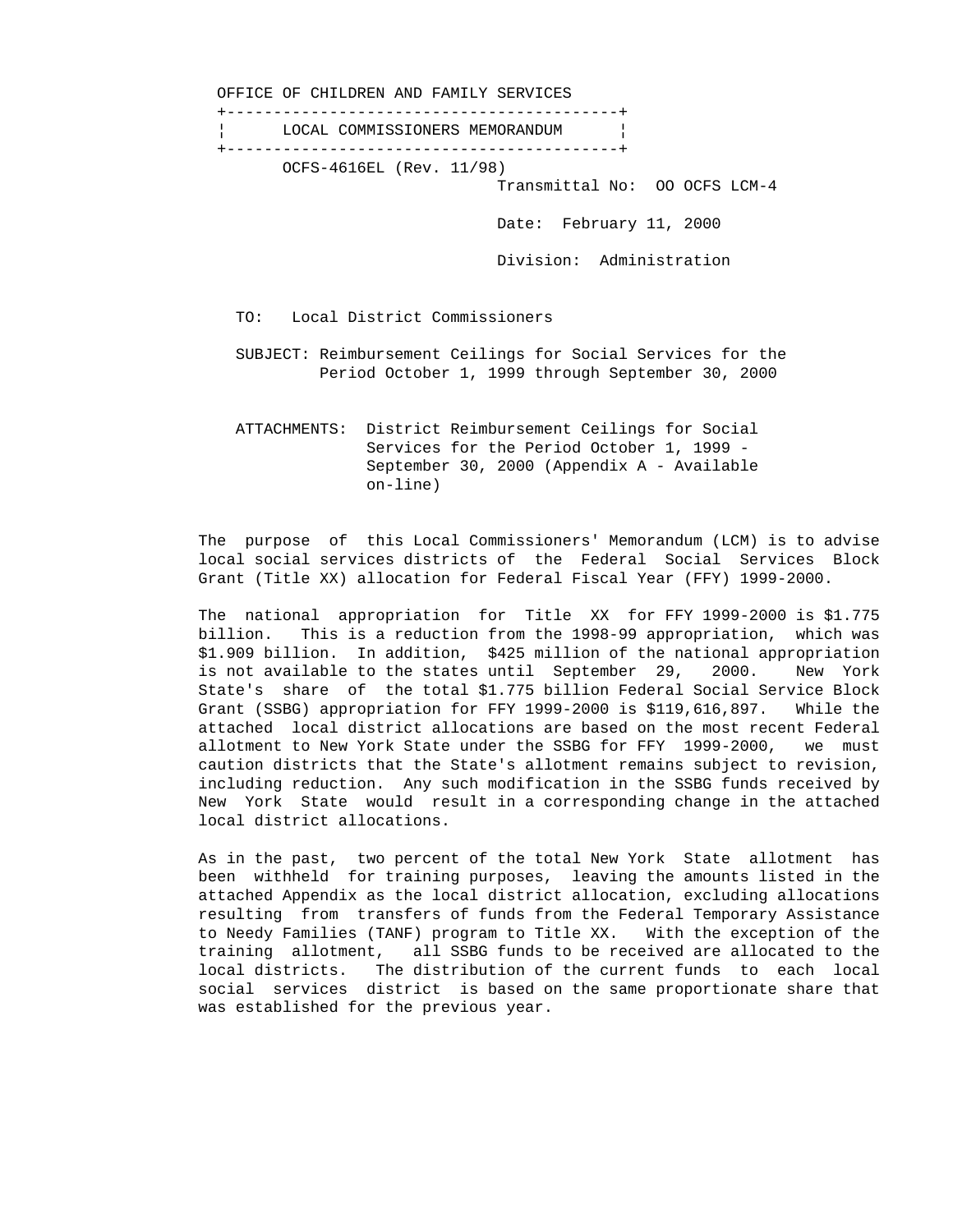OFFICE OF CHILDREN AND FAMILY SERVICES +------------------------------------------+ LOCAL COMMISSIONERS MEMORANDUM +------------------------------------------+ OCFS-4616EL (Rev. 11/98) Transmittal No: OO OCFS LCM-4 Date: February 11, 2000 Division: Administration TO: Local District Commissioners SUBJECT: Reimbursement Ceilings for Social Services for the Period October 1, 1999 through September 30, 2000 ATTACHMENTS: District Reimbursement Ceilings for Social

 Services for the Period October 1, 1999 - September 30, 2000 (Appendix A - Available on-line)

 The purpose of this Local Commissioners' Memorandum (LCM) is to advise local social services districts of the Federal Social Services Block Grant (Title XX) allocation for Federal Fiscal Year (FFY) 1999-2000.

 The national appropriation for Title XX for FFY 1999-2000 is \$1.775 billion. This is a reduction from the 1998-99 appropriation, which was \$1.909 billion. In addition, \$425 million of the national appropriation is not available to the states until September 29, 2000. New York State's share of the total \$1.775 billion Federal Social Service Block Grant (SSBG) appropriation for FFY 1999-2000 is \$119,616,897. While the attached local district allocations are based on the most recent Federal allotment to New York State under the SSBG for FFY 1999-2000, we must caution districts that the State's allotment remains subject to revision, including reduction. Any such modification in the SSBG funds received by New York State would result in a corresponding change in the attached local district allocations.

 As in the past, two percent of the total New York State allotment has been withheld for training purposes, leaving the amounts listed in the attached Appendix as the local district allocation, excluding allocations resulting from transfers of funds from the Federal Temporary Assistance to Needy Families (TANF) program to Title XX. With the exception of the training allotment, all SSBG funds to be received are allocated to the local districts. The distribution of the current funds to each local social services district is based on the same proportionate share that was established for the previous year.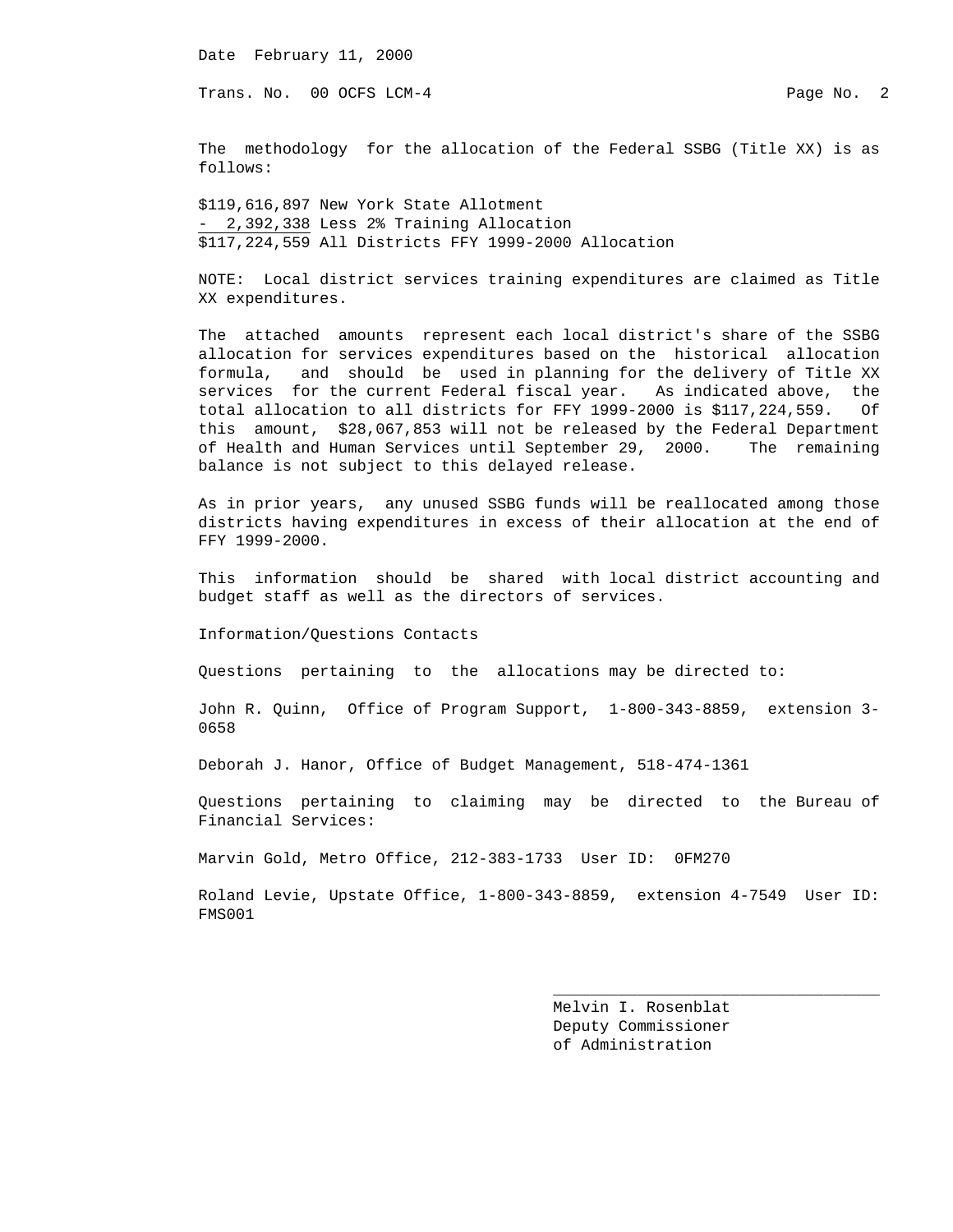Date February 11, 2000

Trans. No. 00 OCFS LCM-4 **Page No. 2** Page No. 2

 The methodology for the allocation of the Federal SSBG (Title XX) is as follows:

 \$119,616,897 New York State Allotment - 2,392,338 Less 2% Training Allocation \$117,224,559 All Districts FFY 1999-2000 Allocation

 NOTE: Local district services training expenditures are claimed as Title XX expenditures.

 The attached amounts represent each local district's share of the SSBG allocation for services expenditures based on the historical allocation formula, and should be used in planning for the delivery of Title XX services for the current Federal fiscal year. As indicated above, the total allocation to all districts for FFY 1999-2000 is \$117,224,559. Of this amount, \$28,067,853 will not be released by the Federal Department of Health and Human Services until September 29, 2000. The remaining balance is not subject to this delayed release.

 As in prior years, any unused SSBG funds will be reallocated among those districts having expenditures in excess of their allocation at the end of FFY 1999-2000.

 This information should be shared with local district accounting and budget staff as well as the directors of services.

Information/Questions Contacts

Questions pertaining to the allocations may be directed to:

 John R. Quinn, Office of Program Support, 1-800-343-8859, extension 3- 0658

Deborah J. Hanor, Office of Budget Management, 518-474-1361

 Questions pertaining to claiming may be directed to the Bureau of Financial Services:

Marvin Gold, Metro Office, 212-383-1733 User ID: 0FM270

 $\frac{1}{2}$  , and the set of the set of the set of the set of the set of the set of the set of the set of the set of the set of the set of the set of the set of the set of the set of the set of the set of the set of the set

 Roland Levie, Upstate Office, 1-800-343-8859, extension 4-7549 User ID: FMS001

> Melvin I. Rosenblat Deputy Commissioner of Administration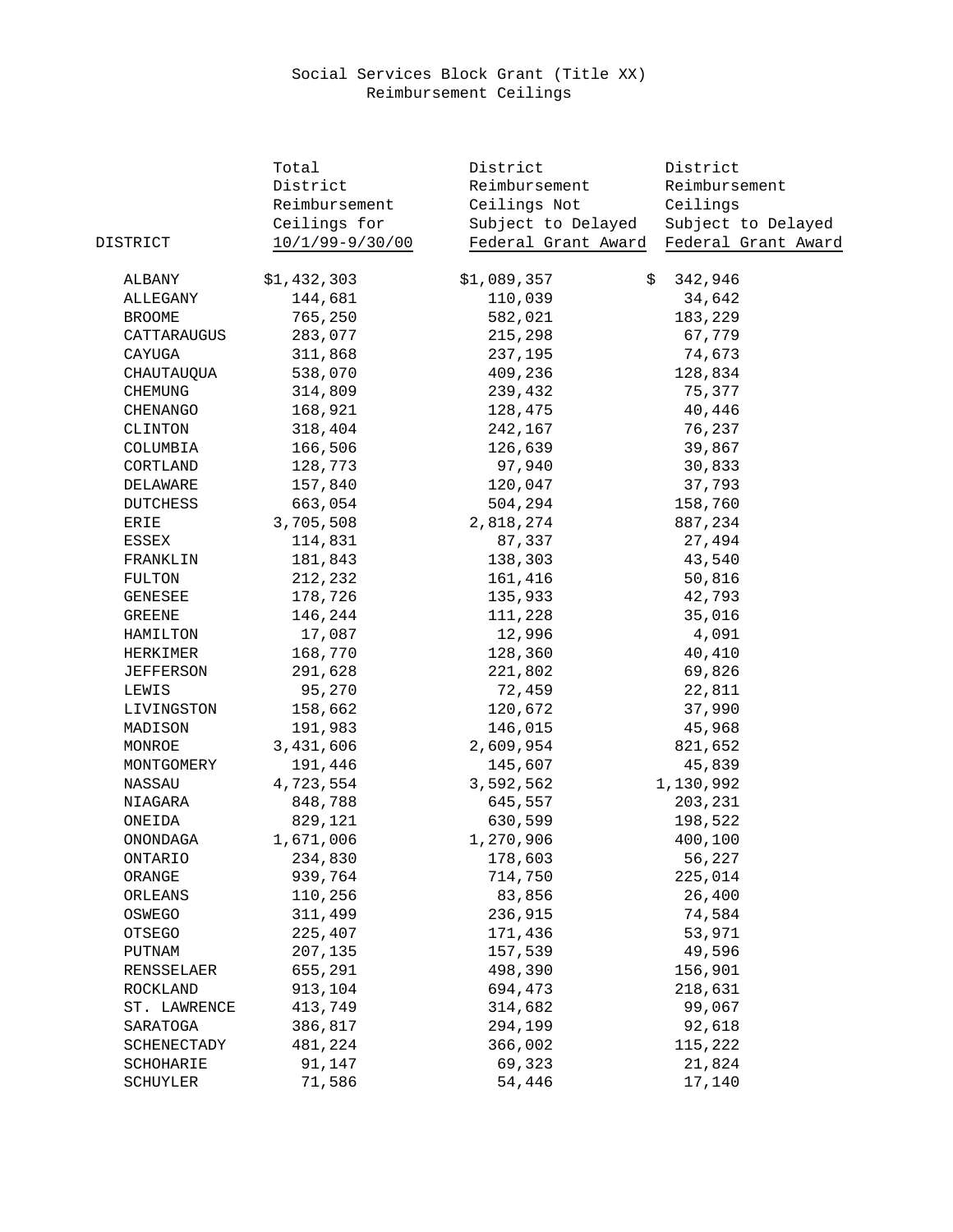## Social Services Block Grant (Title XX) Reimbursement Ceilings

|                  | Total           | District            | District            |
|------------------|-----------------|---------------------|---------------------|
|                  | District        | Reimbursement       | Reimbursement       |
|                  | Reimbursement   | Ceilings Not        | Ceilings            |
|                  | Ceilings for    | Subject to Delayed  | Subject to Delayed  |
| DISTRICT         | 10/1/99-9/30/00 | Federal Grant Award | Federal Grant Award |
|                  |                 |                     |                     |
| ALBANY           | \$1,432,303     | \$1,089,357         | 342,946<br>\$       |
| ALLEGANY         | 144,681         | 110,039             | 34,642              |
| <b>BROOME</b>    | 765,250         | 582,021             | 183,229             |
| CATTARAUGUS      | 283,077         | 215,298             | 67,779              |
| CAYUGA           | 311,868         | 237,195             | 74,673              |
| CHAUTAUQUA       | 538,070         | 409,236             | 128,834             |
| <b>CHEMUNG</b>   | 314,809         | 239,432             | 75,377              |
| CHENANGO         | 168,921         | 128,475             | 40,446              |
| CLINTON          | 318,404         | 242,167             | 76,237              |
| COLUMBIA         | 166,506         | 126,639             | 39,867              |
| CORTLAND         | 128,773         | 97,940              | 30,833              |
| DELAWARE         | 157,840         | 120,047             | 37,793              |
| <b>DUTCHESS</b>  | 663,054         | 504,294             | 158,760             |
| ERIE             | 3,705,508       | 2,818,274           | 887,234             |
| ESSEX            | 114,831         | 87,337              | 27,494              |
| FRANKLIN         | 181,843         | 138,303             | 43,540              |
| <b>FULTON</b>    | 212,232         | 161,416             | 50,816              |
| GENESEE          | 178,726         | 135,933             | 42,793              |
| <b>GREENE</b>    | 146,244         | 111,228             | 35,016              |
| HAMILTON         | 17,087          | 12,996              | 4,091               |
| HERKIMER         | 168,770         | 128,360             | 40,410              |
| <b>JEFFERSON</b> | 291,628         | 221,802             | 69,826              |
| LEWIS            | 95,270          | 72,459              | 22,811              |
| LIVINGSTON       | 158,662         | 120,672             | 37,990              |
| MADISON          | 191,983         | 146,015             | 45,968              |
| MONROE           | 3,431,606       | 2,609,954           | 821,652             |
| MONTGOMERY       | 191,446         | 145,607             | 45,839              |
| NASSAU           | 4,723,554       | 3,592,562           | 1,130,992           |
| NIAGARA          | 848,788         | 645,557             | 203,231             |
| ONEIDA           | 829,121         | 630,599             | 198,522             |
| ONONDAGA         | 1,671,006       | 1,270,906           | 400,100             |
| <b>ONTARIO</b>   | 234,830         | 178,603             | 56,227              |
| ORANGE           | 939,764         | 714,750             | 225,014             |
| ORLEANS          | 110,256         | 83,856              | 26,400              |
| OSWEGO           | 311,499         | 236,915             | 74,584              |
| OTSEGO           | 225,407         | 171,436             | 53,971              |
| PUTNAM           | 207,135         | 157,539             | 49,596              |
| RENSSELAER       | 655,291         | 498,390             | 156,901             |
| ROCKLAND         | 913,104         | 694,473             | 218,631             |
| ST. LAWRENCE     | 413,749         | 314,682             | 99,067              |
| SARATOGA         | 386,817         | 294,199             | 92,618              |
| SCHENECTADY      | 481,224         | 366,002             | 115,222             |
| SCHOHARIE        | 91,147          | 69,323              | 21,824              |
| SCHUYLER         | 71,586          | 54,446              | 17,140              |
|                  |                 |                     |                     |